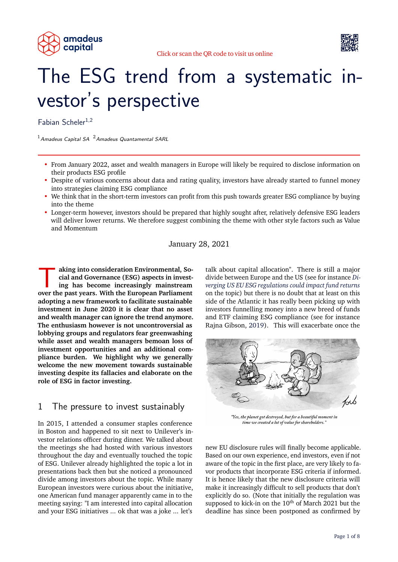





# The ESG trend from a systematic investor's perspective

Fabian Scheler<sup>1,2</sup>

 $1$ Amadeus Capital SA  $2$ Amadeus Quantamental SARL

- From January 2022, asset and wealth managers in Europe will likely be required to disclose information on their products ESG profile
- Despite of various concerns about data and rating quality, investors have already started to funnel money into strategies claiming ESG compliance
- We think that in the short-term investors can profit from this push towards greater ESG compliance by buying into the theme
- Longer-term however, investors should be prepared that highly sought after, relatively defensive ESG leaders will deliver lower returns. We therefore suggest combining the theme with other style factors such as Value and Momentum

January 28, 2021

aking into consideration Environmental, Social and Governance (ESG) aspects in investing has become increasingly mainstream<br>over the past years. With the European Parliament **aking into consideration Environmental, Social and Governance (ESG) aspects in investing has become increasingly mainstream adopting a new framework to facilitate sustainable investment in June 2020 it is clear that no asset and wealth manager can ignore the trend anymore. The enthusiasm however is not uncontroversial as lobbying groups and regulators fear greenwashing while asset and wealth managers bemoan loss of investment opportunities and an additional compliance burden. We highlight why we generally welcome the new movement towards sustainable investing despite its fallacies and elaborate on the role of ESG in factor investing.**

#### 1 The pressure to invest sustainably

In 2015, I attended a consumer staples conference in Boston and happened to sit next to Unilever's investor relations officer during dinner. We talked about the meetings she had hosted with various investors throughout the day and eventually touched the topic of ESG. Unilever already highlighted the topic a lot in presentations back then but she noticed a pronounced divide among investors about the topic. While many European investors were curious about the initiative, one American fund manager apparently came in to the meeting saying: "I am interested into capital allocation and your ESG initiatives ... ok that was a joke ... let's

talk about capital allocation". There is still a major divide between Europe and the US (see for instance *[Di](#page-7-0)[verging US EU ESG regulations could impact fund returns](#page-7-0)* on the topic) but there is no doubt that at least on this side of the Atlantic it has really been picking up with investors funnelling money into a new breed of funds and ETF claiming ESG compliance (see for instance Rajna Gibson, [2019\)](#page-7-1). This will exacerbate once the



"Yes, the planet got destroyed, but for a beautiful moment in time we created a lot of value for shareholders."

new EU disclosure rules will finally become applicable. Based on our own experience, end investors, even if not aware of the topic in the first place, are very likely to favor products that incorporate ESG criteria if informed. It is hence likely that the new disclosure criteria will make it increasingly difficult to sell products that don't explicitly do so. (Note that initially the regulation was supposed to kick-in on the  $10^{th}$  of March 2021 but the deadline has since been postponed as confirmed by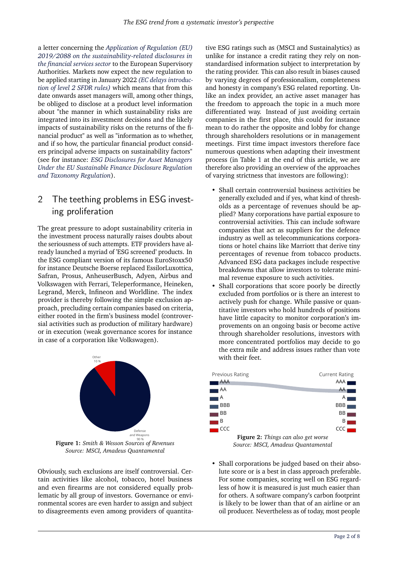a letter concerning the *[Application of Regulation \(EU\)](#page-7-3) [2019/2088 on the sustainability-related disclosures in](#page-7-3) [the financial services sector](#page-7-3)* to the European Supervisory Authorities. Markets now expect the new regulation to be applied starting in January 2022 *[\(EC delays introduc](#page-7-4)[tion of level 2 SFDR rules\)](#page-7-4)* which means that from this date onwards asset managers will, among other things, be obliged to disclose at a product level information about "the manner in which sustainability risks are integrated into its investment decisions and the likely impacts of sustainability risks on the returns of the financial product" as well as "information as to whether, and if so how, the particular financial product considers principal adverse impacts on sustainability factors" (see for instance: *[ESG Disclosures for Asset Managers](#page-7-5) [Under the EU Sustainable Finance Disclosure Regulation](#page-7-5) [and Taxonomy Regulation](#page-7-5)*).

## 2 The teething problems in ESG investing proliferation

The great pressure to adopt sustainability criteria in the investment process naturally raises doubts about the seriousness of such attempts. ETF providers have already launched a myriad of 'ESG screened' products. In the ESG compliant version of its famous EuroStoxx50 for instance Deutsche Boerse replaced EssilorLuxottica, Safran, Prosus, AnheuserBusch, Adyen, Airbus and Volkswagen with Ferrari, Teleperformance, Heineken, Legrand, Merck, Infineon and Worldline. The index provider is thereby following the simple exclusion approach, precluding certain companies based on criteria, either rooted in the firm's business model (controversial activities such as production of military hardware) or in execution (weak governance scores for instance in case of a corporation like Volkswagen).



*Source: MSCI, Amadeus Quantamental*

Obviously, such exclusions are itself controversial. Certain activities like alcohol, tobacco, hotel business and even firearms are not considered equally problematic by all group of investors. Governance or environmental scores are even harder to assign and subject to disagreements even among providers of quantitative ESG ratings such as (MSCI and Sustainalytics) as unlike for instance a credit rating they rely on nonstandardised information subject to interpretation by the rating provider. This can also result in biases caused by varying degrees of professionalism, completeness and honesty in company's ESG related reporting. Unlike an index provider, an active asset manager has the freedom to approach the topic in a much more differentiated way. Instead of just avoiding certain companies in the first place, this could for instance mean to do rather the opposite and lobby for change through shareholders resolutions or in management meetings. First time impact investors therefore face numerous questions when adapting their investment process (in Table [1](#page-6-0) at the end of this article, we are therefore also providing an overview of the approaches of varying strictness that investors are following):

- Shall certain controversial business activities be generally excluded and if yes, what kind of thresholds as a percentage of revenues should be applied? Many corporations have partial exposure to controversial activities. This can include software companies that act as suppliers for the defence industry as well as telecommunications corporations or hotel chains like Marriott that derive tiny percentages of revenue from tobacco products. Advanced ESG data packages include respective breakdowns that allow investors to tolerate minimal revenue exposure to such activities.
- Shall corporations that score poorly be directly excluded from portfolios or is there an interest to actively push for change. While passive or quantitative investors who hold hundreds of positions have little capacity to monitor corporation's improvements on an ongoing basis or become active through shareholder resolutions, investors with more concentrated portfolios may decide to go the extra mile and address issues rather than vote with their feet.

| <b>Previous Rating</b> |                                            | <b>Current Rating</b> |
|------------------------|--------------------------------------------|-----------------------|
| AAA                    |                                            | AAA                   |
| AA                     |                                            | AA                    |
| A                      |                                            | A                     |
| <b>BBB</b>             |                                            | <b>BBB</b>            |
| ΒB                     |                                            | BB                    |
| B                      |                                            | B                     |
| CCC                    |                                            | CCC                   |
|                        | <b>Figure 2:</b> Things can also get worse |                       |

*Source: MSCI, Amadeus Quantamental*

• Shall corporations be judged based on their absolute score or is a best in class approach preferable. For some companies, scoring well on ESG regardless of how it is measured is just much easier than for others. A software company's carbon footprint is likely to be lower than that of an airline or an oil producer. Nevertheless as of today, most people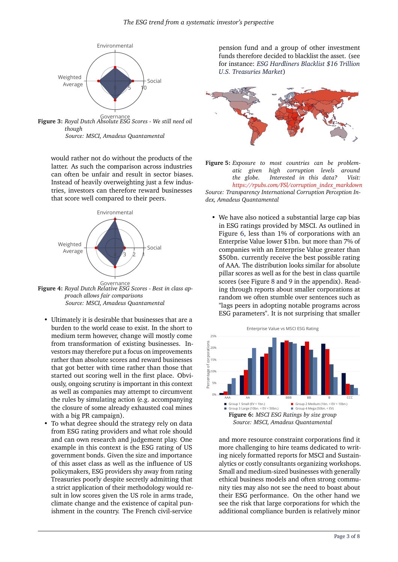

Governance **Figure 3:** *Royal Dutch Absolute ESG Scores - We still need oil though Source: MSCI, Amadeus Quantamental*

would rather not do without the products of the latter. As such the comparison across industries can often be unfair and result in sector biases. Instead of heavily overweighting just a few industries, investors can therefore reward businesses that score well compared to their peers.



Governance **Figure 4:** *Royal Dutch Relative ESG Scores - Best in class approach allows fair comparisons Source: MSCI, Amadeus Quantamental*

- Ultimately it is desirable that businesses that are a burden to the world cease to exist. In the short to medium term however, change will mostly come from transformation of existing businesses. Investors may therefore put a focus on improvements rather than absolute scores and reward businesses that got better with time rather than those that started out scoring well in the first place. Obviously, ongoing scrutiny is important in this context as well as companies may attempt to circumvent the rules by simulating action (e.g. accompanying the closure of some already exhausted coal mines with a big PR campaign).
- To what degree should the strategy rely on data from ESG rating providers and what role should and can own research and judgement play. One example in this context is the ESG rating of US government bonds. Given the size and importance of this asset class as well as the influence of US policymakers, ESG providers shy away from rating Treasuries poorly despite secretly admitting that a strict application of their methodology would result in low scores given the US role in arms trade, climate change and the existence of capital punishment in the country. The French civil-service

pension fund and a group of other investment funds therefore decided to blacklist the asset. (see for instance: *[ESG Hardliners Blacklist \\$16 Trillion](#page-7-6) [U.S. Treasuries Market](#page-7-6)*)





• We have also noticed a substantial large cap bias in ESG ratings provided by MSCI. As outlined in Figure [6,](#page-2-0) less than 1% of corporations with an Enterprise Value lower \$1bn. but more than 7% of companies with an Enterprise Value greater than \$50bn. currently receive the best possible rating of AAA. The distribution looks similar for absolute pillar scores as well as for the best in class quartile scores (see Figure [8](#page-7-7) and [9](#page-7-8) in the appendix). Reading through reports about smaller corporations at random we often stumble over sentences such as "lags peers in adopting notable programs across ESG parameters". It is not surprising that smaller

<span id="page-2-0"></span>

and more resource constraint corporations find it more challenging to hire teams dedicated to writing nicely formatted reports for MSCI and Sustainalytics or costly consultants organizing workshops. Small and medium-sized businesses with generally ethical business models and often strong community ties may also not see the need to boast about their ESG performance. On the other hand we see the risk that large corporations for which the additional compliance burden is relatively minor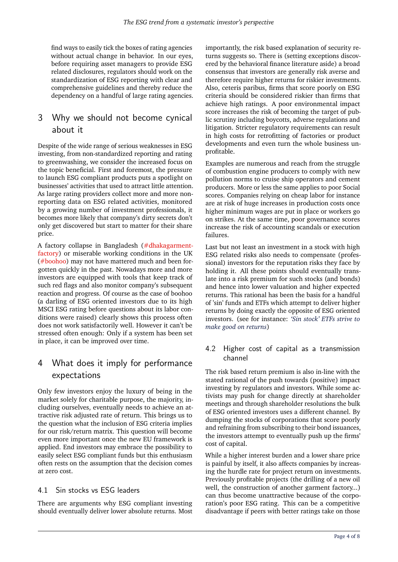find ways to easily tick the boxes of rating agencies without actual change in behavior. In our eyes, before requiring asset managers to provide ESG related disclosures, regulators should work on the standardization of ESG reporting with clear and comprehensive guidelines and thereby reduce the dependency on a handful of large rating agencies.

## 3 Why we should not become cynical about it

Despite of the wide range of serious weaknesses in ESG investing, from non-standardized reporting and rating to greenwashing, we consider the increased focus on the topic beneficial. First and foremost, the pressure to launch ESG compliant products puts a spotlight on businesses' activities that used to attract little attention. As large rating providers collect more and more nonreporting data on ESG related activities, monitored by a growing number of investment professionals, it becomes more likely that company's dirty secrets don't only get discovered but start to matter for their share price.

A factory collapse in Bangladesh [\(#dhakagarment](https://www.nytimes.com/2013/05/23/world/asia/report-on-bangladesh-building-collapse-finds-widespread-blame.html)[factory\)](https://www.nytimes.com/2013/05/23/world/asia/report-on-bangladesh-building-collapse-finds-widespread-blame.html) or miserable working conditions in the UK [\(#boohoo\)](https://www.ft.com/content/84852c9e-c6be-11ea-9d81-eb7f2a294e50) may not have mattered much and been forgotten quickly in the past. Nowadays more and more investors are equipped with tools that keep track of such red flags and also monitor company's subsequent reaction and progress. Of course as the case of boohoo (a darling of ESG oriented investors due to its high MSCI ESG rating before questions about its labor conditions were raised) clearly shows this process often does not work satisfactorily well. However it can't be stressed often enough: Only if a system has been set in place, it can be improved over time.

# 4 What does it imply for performance expectations

Only few investors enjoy the luxury of being in the market solely for charitable purpose, the majority, including ourselves, eventually needs to achieve an attractive risk adjusted rate of return. This brings us to the question what the inclusion of ESG criteria implies for our risk/return matrix. This question will become even more important once the new EU framework is applied. End investors may embrace the possibility to easily select ESG compliant funds but this enthusiasm often rests on the assumption that the decision comes at zero cost.

#### 4.1 Sin stocks vs ESG leaders

There are arguments why ESG compliant investing should eventually deliver lower absolute returns. Most importantly, the risk based explanation of security returns suggests so. There is (setting exceptions discovered by the behavioral finance literature aside) a broad consensus that investors are generally risk averse and therefore require higher returns for riskier investments. Also, ceteris paribus, firms that score poorly on ESG criteria should be considered riskier than firms that achieve high ratings. A poor environmental impact score increases the risk of becoming the target of public scrutiny including boycotts, adverse regulations and litigation. Stricter regulatory requirements can result in high costs for retrofitting of factories or product developments and even turn the whole business unprofitable.

Examples are numerous and reach from the struggle of combustion engine producers to comply with new pollution norms to cruise ship operators and cement producers. More or less the same applies to poor Social scores. Companies relying on cheap labor for instance are at risk of huge increases in production costs once higher minimum wages are put in place or workers go on strikes. At the same time, poor governance scores increase the risk of accounting scandals or execution failures.

Last but not least an investment in a stock with high ESG related risks also needs to compensate (professional) investors for the reputation risks they face by holding it. All these points should eventually translate into a risk premium for such stocks (and bonds) and hence into lower valuation and higher expected returns. This rational has been the basis for a handful of 'sin' funds and ETFs which attempt to deliver higher returns by doing exactly the opposite of ESG oriented investors. (see for instance: *['Sin stock' ETFs strive to](#page-7-9) [make good on returns](#page-7-9)*)

#### 4.2 Higher cost of capital as a transmission channel

The risk based return premium is also in-line with the stated rational of the push towards (positive) impact investing by regulators and investors. While some activists may push for change directly at shareholder meetings and through shareholder resolutions the bulk of ESG oriented investors uses a different channel. By dumping the stocks of corporations that score poorly and refraining from subscribing to their bond issuances, the investors attempt to eventually push up the firms' cost of capital.

While a higher interest burden and a lower share price is painful by itself, it also affects companies by increasing the hurdle rate for project return on investments. Previously profitable projects (the drilling of a new oil well, the construction of another garment factory...) can thus become unattractive because of the corporation's poor ESG rating. This can be a competitive disadvantage if peers with better ratings take on those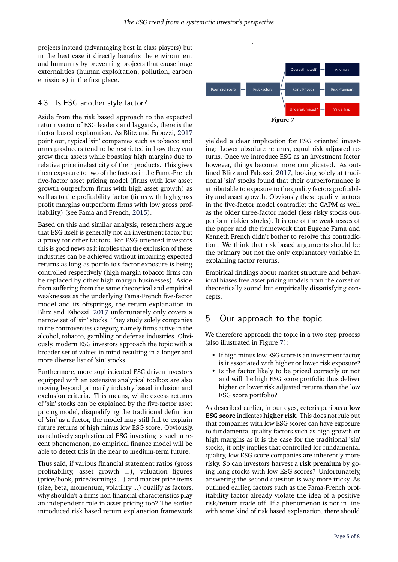projects instead (advantaging best in class players) but in the best case it directly benefits the environment and humanity by preventing projects that cause huge externalities (human exploitation, pollution, carbon emissions) in the first place.

#### 4.3 Is ESG another style factor?

Aside from the risk based approach to the expected return vector of ESG leaders and laggards, there is the factor based explanation. As Blitz and Fabozzi, [2017](#page-7-10) point out, typical 'sin' companies such as tobacco and arms producers tend to be restricted in how they can grow their assets while boasting high margins due to relative price inelasticity of their products. This gives them exposure to two of the factors in the Fama-French five-factor asset pricing model (firms with low asset growth outperform firms with high asset growth) as well as to the profitability factor (firms with high gross profit margins outperform firms with low gross profitability) (see Fama and French, [2015\)](#page-7-11).

Based on this and similar analysis, researchers argue that ESG itself is generally not an investment factor but a proxy for other factors. For ESG oriented investors this is good news as it implies that the exclusion of these industries can be achieved without impairing expected returns as long as portfolio's factor exposure is being controlled respectively (high margin tobacco firms can be replaced by other high margin businesses). Aside from suffering from the same theoretical and empirical weaknesses as the underlying Fama-French five-factor model and its offsprings, the return explanation in Blitz and Fabozzi, [2017](#page-7-10) unfortunately only covers a narrow set of 'sin' stocks. They study solely companies in the controversies category, namely firms active in the alcohol, tobacco, gambling or defense industries. Obviously, modern ESG investors approach the topic with a broader set of values in mind resulting in a longer and more diverse list of 'sin' stocks.

Furthermore, more sophisticated ESG driven investors equipped with an extensive analytical toolbox are also moving beyond primarily industry based inclusion and exclusion criteria. This means, while excess returns of 'sin' stocks can be explained by the five-factor asset pricing model, disqualifying the traditional definition of 'sin' as a factor, the model may still fail to explain future returns of high minus low ESG score. Obviously, as relatively sophisticated ESG investing is such a recent phenomenon, no empirical finance model will be able to detect this in the near to medium-term future.

Thus said, if various financial statement ratios (gross profitability, asset growth ...), valuation figures (price/book, price/earnings ...) and market price items (size, beta, momentum, volatility ...) qualify as factors, why shouldn't a firms non financial characteristics play an independent role in asset pricing too? The earlier introduced risk based return explanation framework

<span id="page-4-0"></span>

yielded a clear implication for ESG oriented investing: Lower absolute returns, equal risk adjusted returns. Once we introduce ESG as an investment factor however, things become more complicated. As outlined Blitz and Fabozzi, [2017,](#page-7-10) looking solely at traditional 'sin' stocks found that their outperformance is attributable to exposure to the quality factors profitability and asset growth. Obviously these quality factors in the five-factor model contradict the CAPM as well as the older three-factor model (less risky stocks outperform riskier stocks). It is one of the weaknesses of the paper and the framework that Eugene Fama and Kenneth French didn't bother to resolve this contradiction. We think that risk based arguments should be the primary but not the only explanatory variable in explaining factor returns.

Empirical findings about market structure and behavioral biases free asset pricing models from the corset of theoretically sound but empirically dissatisfying concepts.

## 5 Our approach to the topic

We therefore approach the topic in a two step process (also illustrated in Figure [7\)](#page-4-0):

- If high minus low ESG score is an investment factor, is it associated with higher or lower risk exposure?
- Is the factor likely to be priced correctly or not and will the high ESG score portfolio thus deliver higher or lower risk adjusted returns than the low ESG score portfolio?

As described earlier, in our eyes, ceteris paribus a **low ESG score** indicates **higher risk**. This does not rule out that companies with low ESG scores can have exposure to fundamental quality factors such as high growth or high margins as it is the case for the traditional 'sin' stocks, it only implies that controlled for fundamental quality, low ESG score companies are inherently more risky. So can investors harvest a **risk premium** by going long stocks with low ESG scores? Unfortunately, answering the second question is way more tricky. As outlined earlier, factors such as the Fama-French profitability factor already violate the idea of a positive risk/return trade-off. If a phenomenon is not in-line with some kind of risk based explanation, there should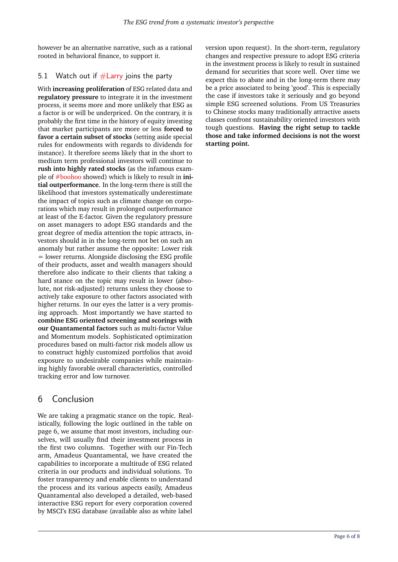however be an alternative narrative, such as a rational rooted in behavioral finance, to support it.

#### 5.1 Watch out if  $# Larry$  joins the party

With **increasing proliferation** of ESG related data and **regulatory pressure** to integrate it in the investment process, it seems more and more unlikely that ESG as a factor is or will be underpriced. On the contrary, it is probably the first time in the history of equity investing that market participants are more or less **forced to favor a certain subset of stocks** (setting aside special rules for endowments with regards to dividends for instance). It therefore seems likely that in the short to medium term professional investors will continue to **rush into highly rated stocks** (as the infamous example of [#boohoo](https://www.ft.com/content/84852c9e-c6be-11ea-9d81-eb7f2a294e50) showed) which is likely to result in **initial outperformance**. In the long-term there is still the likelihood that investors systematically underestimate the impact of topics such as climate change on corporations which may result in prolonged outperformance at least of the E-factor. Given the regulatory pressure on asset managers to adopt ESG standards and the great degree of media attention the topic attracts, investors should in in the long-term not bet on such an anomaly but rather assume the opposite: Lower risk = lower returns. Alongside disclosing the ESG profile of their products, asset and wealth managers should therefore also indicate to their clients that taking a hard stance on the topic may result in lower (absolute, not risk-adjusted) returns unless they choose to actively take exposure to other factors associated with higher returns. In our eyes the latter is a very promising approach. Most importantly we have started to **combine ESG oriented screening and scorings with our Quantamental factors** such as multi-factor Value and Momentum models. Sophisticated optimization procedures based on multi-factor risk models allow us to construct highly customized portfolios that avoid exposure to undesirable companies while maintaining highly favorable overall characteristics, controlled tracking error and low turnover.

## 6 Conclusion

We are taking a pragmatic stance on the topic. Realistically, following the logic outlined in the table on page 6, we assume that most investors, including ourselves, will usually find their investment process in the first two columns. Together with our Fin-Tech arm, Amadeus Quantamental, we have created the capabilities to incorporate a multitude of ESG related criteria in our products and individual solutions. To foster transparency and enable clients to understand the process and its various aspects easily, Amadeus Quantamental also developed a detailed, web-based interactive ESG report for every corporation covered by MSCI's ESG database (available also as white label

version upon request). In the short-term, regulatory changes and respective pressure to adopt ESG criteria in the investment process is likely to result in sustained demand for securities that score well. Over time we expect this to abate and in the long-term there may be a price associated to being 'good'. This is especially the case if investors take it seriously and go beyond simple ESG screened solutions. From US Treasuries to Chinese stocks many traditionally attractive assets classes confront sustainability oriented investors with tough questions. **Having the right setup to tackle those and take informed decisions is not the worst starting point.**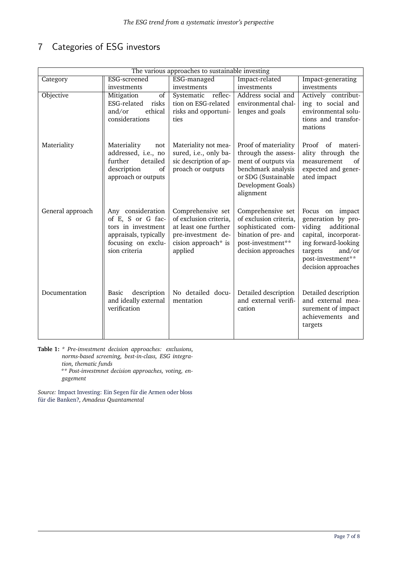# 7 Categories of ESG investors

<span id="page-6-0"></span>

| The various approaches to sustainable investing |                                     |                        |                                          |                                        |  |
|-------------------------------------------------|-------------------------------------|------------------------|------------------------------------------|----------------------------------------|--|
| Category                                        | ESG-screened                        | ESG-managed            | Impact-related                           | Impact-generating                      |  |
|                                                 | investments                         | investments            | investments                              | investments                            |  |
| Objective                                       | $\overline{of}$<br>Mitigation       | Systematic reflec-     | Address social and                       | Actively contribut-                    |  |
|                                                 | ESG-related<br>risks                | tion on ESG-related    | environmental chal-                      | ing to social and                      |  |
|                                                 | ethical<br>and/or                   | risks and opportuni-   | lenges and goals                         | environmental solu-                    |  |
|                                                 | considerations                      | ties                   |                                          | tions and transfor-                    |  |
|                                                 |                                     |                        |                                          | mations                                |  |
| Materiality                                     | Materiality<br>not                  | Materiality not mea-   | Proof of materiality                     | Proof of materi-                       |  |
|                                                 | addressed, i.e., no                 | sured, i.e., only ba-  | through the assess-                      | ality through the                      |  |
|                                                 | further<br>detailed                 | sic description of ap- | ment of outputs via                      | of<br>measurement                      |  |
|                                                 | description<br>of                   | proach or outputs      | benchmark analysis                       | expected and gener-                    |  |
|                                                 | approach or outputs                 |                        | or SDG (Sustainable                      | ated impact                            |  |
|                                                 |                                     |                        | Development Goals)<br>alignment          |                                        |  |
|                                                 |                                     |                        |                                          |                                        |  |
| General approach                                | Any consideration                   | Comprehensive set      | Comprehensive set                        | Focus on impact                        |  |
|                                                 | of E, S or G fac-                   | of exclusion criteria, | of exclusion criteria,                   | generation by pro-                     |  |
|                                                 | tors in investment                  | at least one further   | sophisticated com-                       | viding additional                      |  |
|                                                 | appraisals, typically               | pre-investment de-     | bination of pre- and                     | capital, incorporat-                   |  |
|                                                 | focusing on exclu-<br>sion criteria | cision approach* is    | post-investment**<br>decision approaches | ing forward-looking                    |  |
|                                                 |                                     | applied                |                                          | targets<br>and/or<br>post-investment** |  |
|                                                 |                                     |                        |                                          | decision approaches                    |  |
|                                                 |                                     |                        |                                          |                                        |  |
|                                                 |                                     |                        |                                          |                                        |  |
| Documentation                                   | description<br>Basic                | No detailed docu-      | Detailed description                     | Detailed description                   |  |
|                                                 | and ideally external                | mentation              | and external verifi-                     | and external mea-                      |  |
|                                                 | verification                        |                        | cation                                   | surement of impact<br>achievements and |  |
|                                                 |                                     |                        |                                          | targets                                |  |
|                                                 |                                     |                        |                                          |                                        |  |
|                                                 |                                     |                        |                                          |                                        |  |

**Table 1:** *\* Pre-investment decision approaches: exclusions, norms-based screening, best-in-class, ESG integration, thematic funds \*\* Post-investmnet decision approaches, voting, engagement*

*Source:* [Impact Investing: Ein Segen für die Armen oder bloss](#page-7-12) [für die Banken?](#page-7-12)*, Amadeus Quantamental*